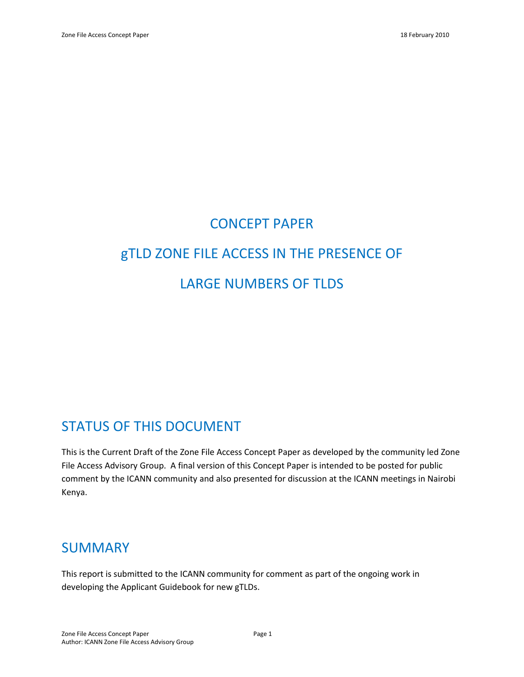# CONCEPT PAPER gTLD ZONE FILE ACCESS IN THE PRESENCE OF LARGE NUMBERS OF TLDS

# STATUS OF THIS DOCUMENT

This is the Current Draft of the Zone File Access Concept Paper as developed by the community led Zone File Access Advisory Group. A final version of this Concept Paper is intended to be posted for public comment by the ICANN community and also presented for discussion at the ICANN meetings in Nairobi Kenya.

# SUMMARY

This report is submitted to the ICANN community for comment as part of the ongoing work in developing the Applicant Guidebook for new gTLDs.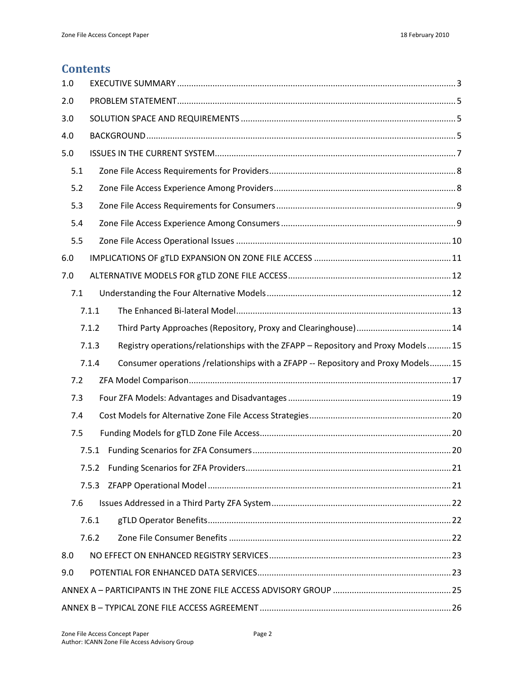# **Contents**

| 1.0 |                                                                                            |  |
|-----|--------------------------------------------------------------------------------------------|--|
| 2.0 |                                                                                            |  |
| 3.0 |                                                                                            |  |
| 4.0 |                                                                                            |  |
| 5.0 |                                                                                            |  |
| 5.1 |                                                                                            |  |
| 5.2 |                                                                                            |  |
| 5.3 |                                                                                            |  |
| 5.4 |                                                                                            |  |
| 5.5 |                                                                                            |  |
| 6.0 |                                                                                            |  |
| 7.0 |                                                                                            |  |
| 7.1 |                                                                                            |  |
|     | 7.1.1                                                                                      |  |
|     | 7.1.2                                                                                      |  |
|     | Registry operations/relationships with the ZFAPP - Repository and Proxy Models15<br>7.1.3  |  |
|     | Consumer operations /relationships with a ZFAPP -- Repository and Proxy Models 15<br>7.1.4 |  |
| 7.2 |                                                                                            |  |
| 7.3 |                                                                                            |  |
| 7.4 |                                                                                            |  |
| 7.5 |                                                                                            |  |
|     | 7.5.1                                                                                      |  |
|     | 7.5.2                                                                                      |  |
|     | 7.5.3                                                                                      |  |
| 7.6 |                                                                                            |  |
|     | 7.6.1                                                                                      |  |
|     | 7.6.2                                                                                      |  |
| 8.0 |                                                                                            |  |
| 9.0 |                                                                                            |  |
|     |                                                                                            |  |
|     |                                                                                            |  |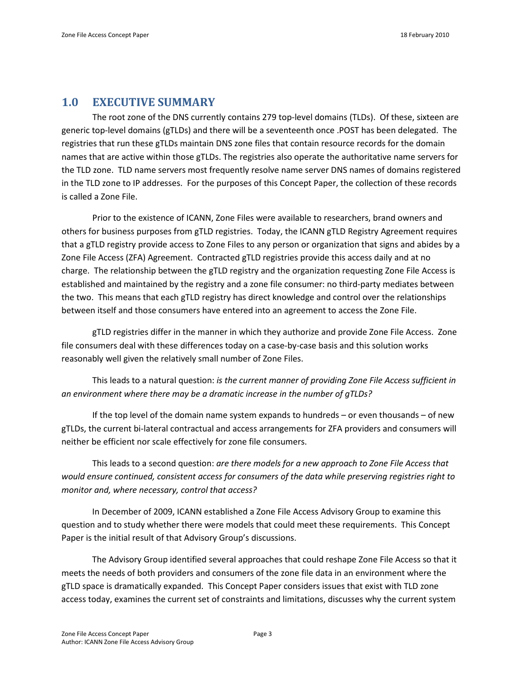# <span id="page-2-0"></span>**1.0 EXECUTIVE SUMMARY**

The root zone of the DNS currently contains 279 top-level domains (TLDs). Of these, sixteen are generic top-level domains (gTLDs) and there will be a seventeenth once .POST has been delegated. The registries that run these gTLDs maintain DNS zone files that contain resource records for the domain names that are active within those gTLDs. The registries also operate the authoritative name servers for the TLD zone. TLD name servers most frequently resolve name server DNS names of domains registered in the TLD zone to IP addresses. For the purposes of this Concept Paper, the collection of these records is called a Zone File.

Prior to the existence of ICANN, Zone Files were available to researchers, brand owners and others for business purposes from gTLD registries. Today, the ICANN gTLD Registry Agreement requires that a gTLD registry provide access to Zone Files to any person or organization that signs and abides by a Zone File Access (ZFA) Agreement. Contracted gTLD registries provide this access daily and at no charge. The relationship between the gTLD registry and the organization requesting Zone File Access is established and maintained by the registry and a zone file consumer: no third-party mediates between the two. This means that each gTLD registry has direct knowledge and control over the relationships between itself and those consumers have entered into an agreement to access the Zone File.

gTLD registries differ in the manner in which they authorize and provide Zone File Access. Zone file consumers deal with these differences today on a case-by-case basis and this solution works reasonably well given the relatively small number of Zone Files.

This leads to a natural question: *is the current manner of providing Zone File Access sufficient in an environment where there may be a dramatic increase in the number of gTLDs?*

If the top level of the domain name system expands to hundreds – or even thousands – of new gTLDs, the current bi-lateral contractual and access arrangements for ZFA providers and consumers will neither be efficient nor scale effectively for zone file consumers.

This leads to a second question: *are there models for a new approach to Zone File Access that would ensure continued, consistent access for consumers of the data while preserving registries right to monitor and, where necessary, control that access?*

In December of 2009, ICANN established a Zone File Access Advisory Group to examine this question and to study whether there were models that could meet these requirements. This Concept Paper is the initial result of that Advisory Group's discussions.

The Advisory Group identified several approaches that could reshape Zone File Access so that it meets the needs of both providers and consumers of the zone file data in an environment where the gTLD space is dramatically expanded. This Concept Paper considers issues that exist with TLD zone access today, examines the current set of constraints and limitations, discusses why the current system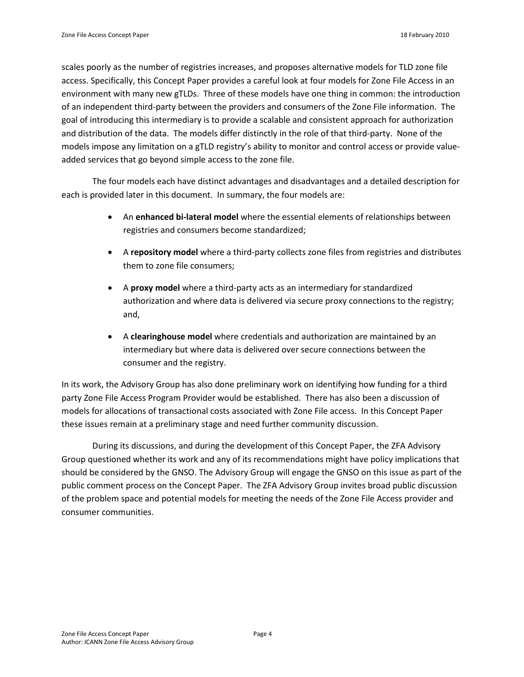scales poorly as the number of registries increases, and proposes alternative models for TLD zone file access. Specifically, this Concept Paper provides a careful look at four models for Zone File Access in an environment with many new gTLDs. Three of these models have one thing in common: the introduction of an independent third-party between the providers and consumers of the Zone File information. The goal of introducing this intermediary is to provide a scalable and consistent approach for authorization and distribution of the data. The models differ distinctly in the role of that third-party. None of the models impose any limitation on a gTLD registry's ability to monitor and control access or provide valueadded services that go beyond simple access to the zone file.

The four models each have distinct advantages and disadvantages and a detailed description for each is provided later in this document. In summary, the four models are:

- An **enhanced bi-lateral model** where the essential elements of relationships between registries and consumers become standardized;
- A **repository model** where a third-party collects zone files from registries and distributes them to zone file consumers;
- A **proxy model** where a third-party acts as an intermediary for standardized authorization and where data is delivered via secure proxy connections to the registry; and,
- A **clearinghouse model** where credentials and authorization are maintained by an intermediary but where data is delivered over secure connections between the consumer and the registry.

In its work, the Advisory Group has also done preliminary work on identifying how funding for a third party Zone File Access Program Provider would be established. There has also been a discussion of models for allocations of transactional costs associated with Zone File access. In this Concept Paper these issues remain at a preliminary stage and need further community discussion.

During its discussions, and during the development of this Concept Paper, the ZFA Advisory Group questioned whether its work and any of its recommendations might have policy implications that should be considered by the GNSO. The Advisory Group will engage the GNSO on this issue as part of the public comment process on the Concept Paper. The ZFA Advisory Group invites broad public discussion of the problem space and potential models for meeting the needs of the Zone File Access provider and consumer communities.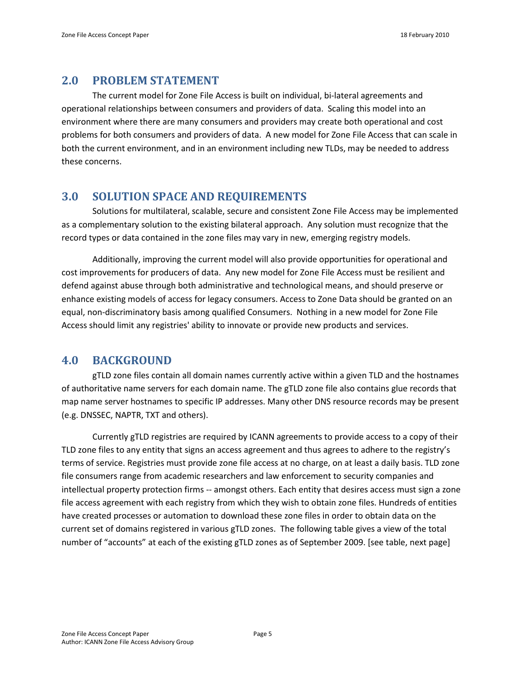# <span id="page-4-0"></span>**2.0 PROBLEM STATEMENT**

The current model for Zone File Access is built on individual, bi-lateral agreements and operational relationships between consumers and providers of data. Scaling this model into an environment where there are many consumers and providers may create both operational and cost problems for both consumers and providers of data. A new model for Zone File Access that can scale in both the current environment, and in an environment including new TLDs, may be needed to address these concerns.

# <span id="page-4-1"></span>**3.0 SOLUTION SPACE AND REQUIREMENTS**

Solutions for multilateral, scalable, secure and consistent Zone File Access may be implemented as a complementary solution to the existing bilateral approach. Any solution must recognize that the record types or data contained in the zone files may vary in new, emerging registry models.

Additionally, improving the current model will also provide opportunities for operational and cost improvements for producers of data. Any new model for Zone File Access must be resilient and defend against abuse through both administrative and technological means, and should preserve or enhance existing models of access for legacy consumers. Access to Zone Data should be granted on an equal, non-discriminatory basis among qualified Consumers. Nothing in a new model for Zone File Access should limit any registries' ability to innovate or provide new products and services.

## <span id="page-4-2"></span>**4.0 BACKGROUND**

gTLD zone files contain all domain names currently active within a given TLD and the hostnames of authoritative name servers for each domain name. The gTLD zone file also contains glue records that map name server hostnames to specific IP addresses. Many other DNS resource records may be present (e.g. DNSSEC, NAPTR, TXT and others).

Currently gTLD registries are required by ICANN agreements to provide access to a copy of their TLD zone files to any entity that signs an access agreement and thus agrees to adhere to the registry's terms of service. Registries must provide zone file access at no charge, on at least a daily basis. TLD zone file consumers range from academic researchers and law enforcement to security companies and intellectual property protection firms -- amongst others. Each entity that desires access must sign a zone file access agreement with each registry from which they wish to obtain zone files. Hundreds of entities have created processes or automation to download these zone files in order to obtain data on the current set of domains registered in various gTLD zones. The following table gives a view of the total number of "accounts" at each of the existing gTLD zones as of September 2009. [see table, next page]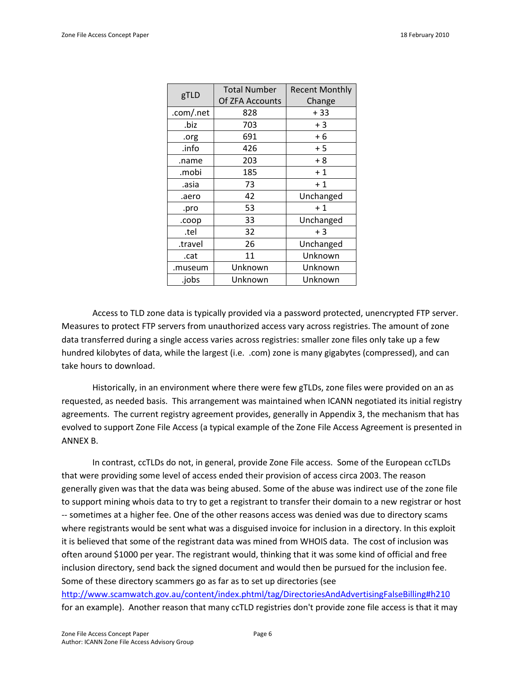| gTLD      | <b>Total Number</b> | <b>Recent Monthly</b> |  |
|-----------|---------------------|-----------------------|--|
|           | Of ZFA Accounts     | Change                |  |
| .com/.net | 828                 | + 33                  |  |
| .biz      | 703                 | $+3$                  |  |
| .org      | 691                 | $+6$                  |  |
| .info     | 426                 | + 5                   |  |
| .name     | 203                 | $+8$                  |  |
| .mobi     | 185                 | $+1$                  |  |
| .asia     | 73                  | $+1$                  |  |
| .aero     | 42                  | Unchanged             |  |
| .pro      | 53                  | $+1$                  |  |
| .coop     | 33                  | Unchanged             |  |
| .tel      | 32                  | $+3$                  |  |
| .travel   | 26                  | Unchanged             |  |
| .cat      | 11                  | Unknown               |  |
| .museum   | Unknown             | Unknown               |  |
| .jobs     | Unknown             | Unknown               |  |

Access to TLD zone data is typically provided via a password protected, unencrypted FTP server. Measures to protect FTP servers from unauthorized access vary across registries. The amount of zone data transferred during a single access varies across registries: smaller zone files only take up a few hundred kilobytes of data, while the largest (i.e. .com) zone is many gigabytes (compressed), and can take hours to download.

Historically, in an environment where there were few gTLDs, zone files were provided on an as requested, as needed basis. This arrangement was maintained when ICANN negotiated its initial registry agreements. The current registry agreement provides, generally in Appendix 3, the mechanism that has evolved to support Zone File Access (a typical example of the Zone File Access Agreement is presented in ANNEX B.

In contrast, ccTLDs do not, in general, provide Zone File access. Some of the European ccTLDs that were providing some level of access ended their provision of access circa 2003. The reason generally given was that the data was being abused. Some of the abuse was indirect use of the zone file to support mining whois data to try to get a registrant to transfer their domain to a new registrar or host -- sometimes at a higher fee. One of the other reasons access was denied was due to directory scams where registrants would be sent what was a disguised invoice for inclusion in a directory. In this exploit it is believed that some of the registrant data was mined from WHOIS data. The cost of inclusion was often around \$1000 per year. The registrant would, thinking that it was some kind of official and free inclusion directory, send back the signed document and would then be pursued for the inclusion fee. Some of these directory scammers go as far as to set up directories (see <http://www.scamwatch.gov.au/content/index.phtml/tag/DirectoriesAndAdvertisingFalseBilling#h210> for an example). Another reason that many ccTLD registries don't provide zone file access is that it may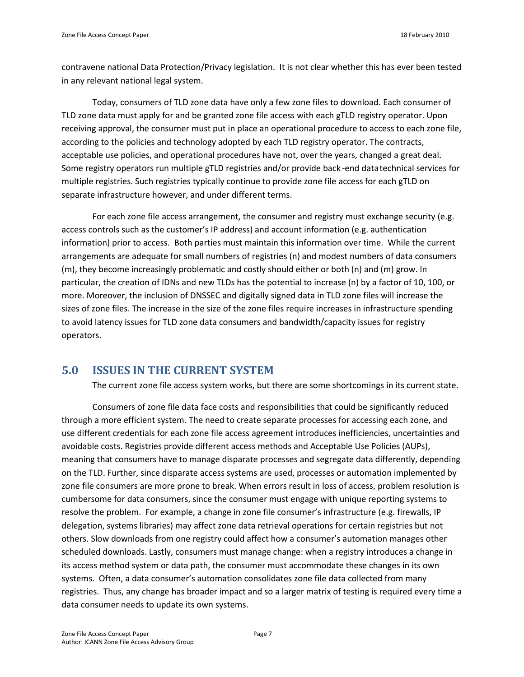contravene national Data Protection/Privacy legislation. It is not clear whether this has ever been tested in any relevant national legal system.

Today, consumers of TLD zone data have only a few zone files to download. Each consumer of TLD zone data must apply for and be granted zone file access with each gTLD registry operator. Upon receiving approval, the consumer must put in place an operational procedure to access to each zone file, according to the policies and technology adopted by each TLD registry operator. The contracts, acceptable use policies, and operational procedures have not, over the years, changed a great deal. Some registry operators run multiple gTLD registries and/or provide back -end data technical services for multiple registries. Such registries typically continue to provide zone file access for each gTLD on separate infrastructure however, and under different terms.

For each zone file access arrangement, the consumer and registry must exchange security (e.g. access controls such as the customer's IP address) and account information (e.g. authentication information) prior to access. Both parties must maintain this information over time. While the current arrangements are adequate for small numbers of registries (n) and modest numbers of data consumers (m), they become increasingly problematic and costly should either or both (n) and (m) grow. In particular, the creation of IDNs and new TLDs has the potential to increase (n) by a factor of 10, 100, or more. Moreover, the inclusion of DNSSEC and digitally signed data in TLD zone files will increase the sizes of zone files. The increase in the size of the zone files require increases in infrastructure spending to avoid latency issues for TLD zone data consumers and bandwidth/capacity issues for registry operators.

## <span id="page-6-0"></span>**5.0 ISSUES IN THE CURRENT SYSTEM**

The current zone file access system works, but there are some shortcomings in its current state.

Consumers of zone file data face costs and responsibilities that could be significantly reduced through a more efficient system. The need to create separate processes for accessing each zone, and use different credentials for each zone file access agreement introduces inefficiencies, uncertainties and avoidable costs. Registries provide different access methods and Acceptable Use Policies (AUPs), meaning that consumers have to manage disparate processes and segregate data differently, depending on the TLD. Further, since disparate access systems are used, processes or automation implemented by zone file consumers are more prone to break. When errors result in loss of access, problem resolution is cumbersome for data consumers, since the consumer must engage with unique reporting systems to resolve the problem. For example, a change in zone file consumer's infrastructure (e.g. firewalls, IP delegation, systems libraries) may affect zone data retrieval operations for certain registries but not others. Slow downloads from one registry could affect how a consumer's automation manages other scheduled downloads. Lastly, consumers must manage change: when a registry introduces a change in its access method system or data path, the consumer must accommodate these changes in its own systems. Often, a data consumer's automation consolidates zone file data collected from many registries. Thus, any change has broader impact and so a larger matrix of testing is required every time a data consumer needs to update its own systems.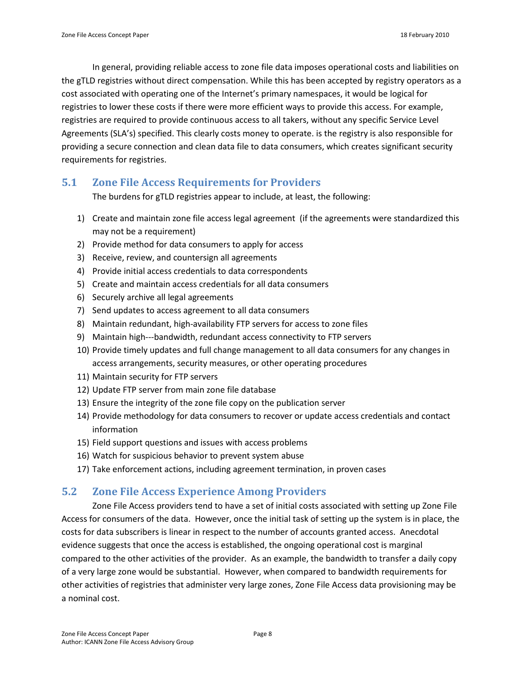In general, providing reliable access to zone file data imposes operational costs and liabilities on the gTLD registries without direct compensation. While this has been accepted by registry operators as a cost associated with operating one of the Internet's primary namespaces, it would be logical for registries to lower these costs if there were more efficient ways to provide this access. For example, registries are required to provide continuous access to all takers, without any specific Service Level Agreements (SLA's) specified. This clearly costs money to operate. is the registry is also responsible for providing a secure connection and clean data file to data consumers, which creates significant security requirements for registries.

### <span id="page-7-0"></span>**5.1 Zone File Access Requirements for Providers**

The burdens for gTLD registries appear to include, at least, the following:

- 1) Create and maintain zone file access legal agreement (if the agreements were standardized this may not be a requirement)
- 2) Provide method for data consumers to apply for access
- 3) Receive, review, and countersign all agreements
- 4) Provide initial access credentials to data correspondents
- 5) Create and maintain access credentials for all data consumers
- 6) Securely archive all legal agreements
- 7) Send updates to access agreement to all data consumers
- 8) Maintain redundant, high-availability FTP servers for access to zone files
- 9) Maintain high---bandwidth, redundant access connectivity to FTP servers
- 10) Provide timely updates and full change management to all data consumers for any changes in access arrangements, security measures, or other operating procedures
- 11) Maintain security for FTP servers
- 12) Update FTP server from main zone file database
- 13) Ensure the integrity of the zone file copy on the publication server
- 14) Provide methodology for data consumers to recover or update access credentials and contact information
- 15) Field support questions and issues with access problems
- 16) Watch for suspicious behavior to prevent system abuse
- 17) Take enforcement actions, including agreement termination, in proven cases

## <span id="page-7-1"></span>**5.2 Zone File Access Experience Among Providers**

Zone File Access providers tend to have a set of initial costs associated with setting up Zone File Access for consumers of the data. However, once the initial task of setting up the system is in place, the costs for data subscribers is linear in respect to the number of accounts granted access. Anecdotal evidence suggests that once the access is established, the ongoing operational cost is marginal compared to the other activities of the provider. As an example, the bandwidth to transfer a daily copy of a very large zone would be substantial. However, when compared to bandwidth requirements for other activities of registries that administer very large zones, Zone File Access data provisioning may be a nominal cost.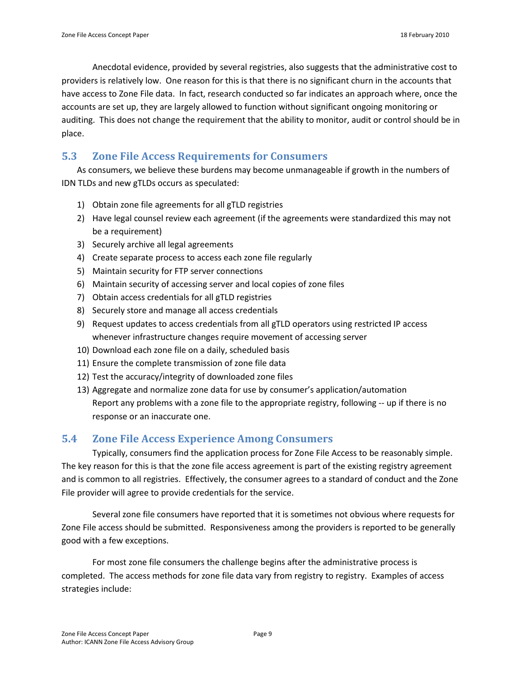Anecdotal evidence, provided by several registries, also suggests that the administrative cost to providers is relatively low. One reason for this is that there is no significant churn in the accounts that have access to Zone File data. In fact, research conducted so far indicates an approach where, once the accounts are set up, they are largely allowed to function without significant ongoing monitoring or auditing. This does not change the requirement that the ability to monitor, audit or control should be in place.

# <span id="page-8-0"></span>**5.3 Zone File Access Requirements for Consumers**

As consumers, we believe these burdens may become unmanageable if growth in the numbers of IDN TLDs and new gTLDs occurs as speculated:

- 1) Obtain zone file agreements for all gTLD registries
- 2) Have legal counsel review each agreement (if the agreements were standardized this may not be a requirement)
- 3) Securely archive all legal agreements
- 4) Create separate process to access each zone file regularly
- 5) Maintain security for FTP server connections
- 6) Maintain security of accessing server and local copies of zone files
- 7) Obtain access credentials for all gTLD registries
- 8) Securely store and manage all access credentials
- 9) Request updates to access credentials from all gTLD operators using restricted IP access whenever infrastructure changes require movement of accessing server
- 10) Download each zone file on a daily, scheduled basis
- 11) Ensure the complete transmission of zone file data
- 12) Test the accuracy/integrity of downloaded zone files
- 13) Aggregate and normalize zone data for use by consumer's application/automation Report any problems with a zone file to the appropriate registry, following -- up if there is no response or an inaccurate one.

## <span id="page-8-1"></span>**5.4 Zone File Access Experience Among Consumers**

Typically, consumers find the application process for Zone File Access to be reasonably simple. The key reason for this is that the zone file access agreement is part of the existing registry agreement and is common to all registries. Effectively, the consumer agrees to a standard of conduct and the Zone File provider will agree to provide credentials for the service.

Several zone file consumers have reported that it is sometimes not obvious where requests for Zone File access should be submitted. Responsiveness among the providers is reported to be generally good with a few exceptions.

For most zone file consumers the challenge begins after the administrative process is completed. The access methods for zone file data vary from registry to registry. Examples of access strategies include: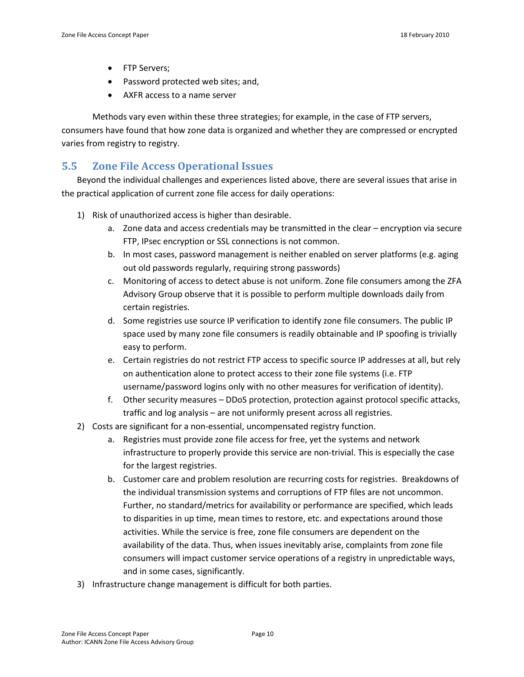- FTP Servers;
- Password protected web sites: and.
- AXFR access to a name server

Methods vary even within these three strategies; for example, in the case of FTP servers, consumers have found that how zone data is organized and whether they are compressed or encrypted varies from registry to registry.

### <span id="page-9-0"></span>**5.5 Zone File Access Operational Issues**

Beyond the individual challenges and experiences listed above, there are several issues that arise in the practical application of current zone file access for daily operations:

- 1) Risk of unauthorized access is higher than desirable.
	- a. Zone data and access credentials may be transmitted in the clear encryption via secure FTP, IPsec encryption or SSL connections is not common.
	- b. In most cases, password management is neither enabled on server platforms (e.g. aging out old passwords regularly, requiring strong passwords)
	- c. Monitoring of access to detect abuse is not uniform. Zone file consumers among the ZFA Advisory Group observe that it is possible to perform multiple downloads daily from certain registries.
	- d. Some registries use source IP verification to identify zone file consumers. The public IP space used by many zone file consumers is readily obtainable and IP spoofing is trivially easy to perform.
	- e. Certain registries do not restrict FTP access to specific source IP addresses at all, but rely on authentication alone to protect access to their zone file systems (i.e. FTP username/password logins only with no other measures for verification of identity).
	- f. Other security measures DDoS protection, protection against protocol specific attacks, traffic and log analysis – are not uniformly present across all registries.
- 2) Costs are significant for a non-essential, uncompensated registry function.
	- a. Registries must provide zone file access for free, yet the systems and network infrastructure to properly provide this service are non-trivial. This is especially the case for the largest registries.
	- b. Customer care and problem resolution are recurring costs for registries. Breakdowns of the individual transmission systems and corruptions of FTP files are not uncommon. Further, no standard/metrics for availability or performance are specified, which leads to disparities in up time, mean times to restore, etc. and expectations around those activities. While the service is free, zone file consumers are dependent on the availability of the data. Thus, when issues inevitably arise, complaints from zone file consumers will impact customer service operations of a registry in unpredictable ways, and in some cases, significantly.
- 3) Infrastructure change management is difficult for both parties.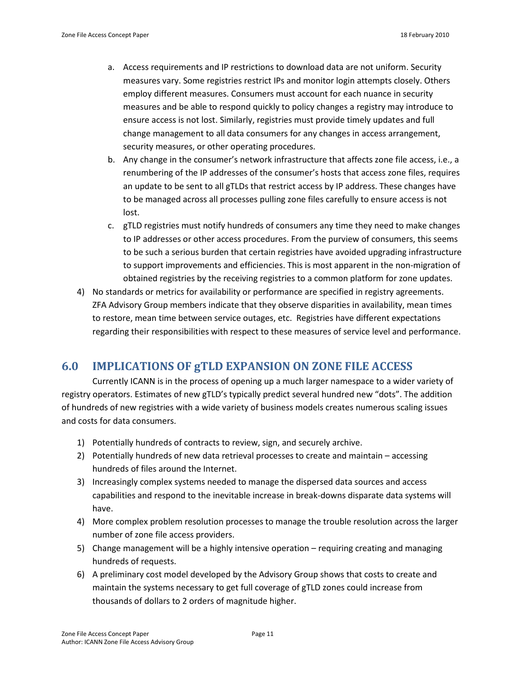- a. Access requirements and IP restrictions to download data are not uniform. Security measures vary. Some registries restrict IPs and monitor login attempts closely. Others employ different measures. Consumers must account for each nuance in security measures and be able to respond quickly to policy changes a registry may introduce to ensure access is not lost. Similarly, registries must provide timely updates and full change management to all data consumers for any changes in access arrangement, security measures, or other operating procedures.
- b. Any change in the consumer's network infrastructure that affects zone file access, i.e., a renumbering of the IP addresses of the consumer's hosts that access zone files, requires an update to be sent to all gTLDs that restrict access by IP address. These changes have to be managed across all processes pulling zone files carefully to ensure access is not lost.
- c. gTLD registries must notify hundreds of consumers any time they need to make changes to IP addresses or other access procedures. From the purview of consumers, this seems to be such a serious burden that certain registries have avoided upgrading infrastructure to support improvements and efficiencies. This is most apparent in the non-migration of obtained registries by the receiving registries to a common platform for zone updates.
- 4) No standards or metrics for availability or performance are specified in registry agreements. ZFA Advisory Group members indicate that they observe disparities in availability, mean times to restore, mean time between service outages, etc. Registries have different expectations regarding their responsibilities with respect to these measures of service level and performance.

## <span id="page-10-0"></span>**6.0 IMPLICATIONS OF gTLD EXPANSION ON ZONE FILE ACCESS**

Currently ICANN is in the process of opening up a much larger namespace to a wider variety of registry operators. Estimates of new gTLD's typically predict several hundred new "dots". The addition of hundreds of new registries with a wide variety of business models creates numerous scaling issues and costs for data consumers.

- 1) Potentially hundreds of contracts to review, sign, and securely archive.
- 2) Potentially hundreds of new data retrieval processes to create and maintain accessing hundreds of files around the Internet.
- 3) Increasingly complex systems needed to manage the dispersed data sources and access capabilities and respond to the inevitable increase in break-downs disparate data systems will have.
- 4) More complex problem resolution processes to manage the trouble resolution across the larger number of zone file access providers.
- 5) Change management will be a highly intensive operation requiring creating and managing hundreds of requests.
- 6) A preliminary cost model developed by the Advisory Group shows that costs to create and maintain the systems necessary to get full coverage of gTLD zones could increase from thousands of dollars to 2 orders of magnitude higher.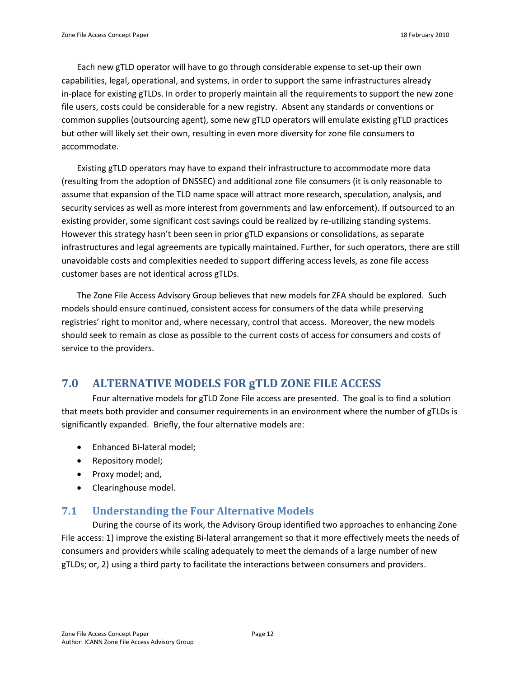Each new gTLD operator will have to go through considerable expense to set-up their own capabilities, legal, operational, and systems, in order to support the same infrastructures already in-place for existing gTLDs. In order to properly maintain all the requirements to support the new zone file users, costs could be considerable for a new registry. Absent any standards or conventions or common supplies (outsourcing agent), some new gTLD operators will emulate existing gTLD practices but other will likely set their own, resulting in even more diversity for zone file consumers to accommodate.

Existing gTLD operators may have to expand their infrastructure to accommodate more data (resulting from the adoption of DNSSEC) and additional zone file consumers (it is only reasonable to assume that expansion of the TLD name space will attract more research, speculation, analysis, and security services as well as more interest from governments and law enforcement). If outsourced to an existing provider, some significant cost savings could be realized by re-utilizing standing systems. However this strategy hasn't been seen in prior gTLD expansions or consolidations, as separate infrastructures and legal agreements are typically maintained. Further, for such operators, there are still unavoidable costs and complexities needed to support differing access levels, as zone file access customer bases are not identical across gTLDs.

The Zone File Access Advisory Group believes that new models for ZFA should be explored. Such models should ensure continued, consistent access for consumers of the data while preserving registries' right to monitor and, where necessary, control that access. Moreover, the new models should seek to remain as close as possible to the current costs of access for consumers and costs of service to the providers.

# <span id="page-11-0"></span>**7.0 ALTERNATIVE MODELS FOR gTLD ZONE FILE ACCESS**

Four alternative models for gTLD Zone File access are presented. The goal is to find a solution that meets both provider and consumer requirements in an environment where the number of gTLDs is significantly expanded. Briefly, the four alternative models are:

- Enhanced Bi-lateral model;
- Repository model;
- Proxy model; and,
- Clearinghouse model.

### <span id="page-11-1"></span>**7.1 Understanding the Four Alternative Models**

During the course of its work, the Advisory Group identified two approaches to enhancing Zone File access: 1) improve the existing Bi-lateral arrangement so that it more effectively meets the needs of consumers and providers while scaling adequately to meet the demands of a large number of new gTLDs; or, 2) using a third party to facilitate the interactions between consumers and providers.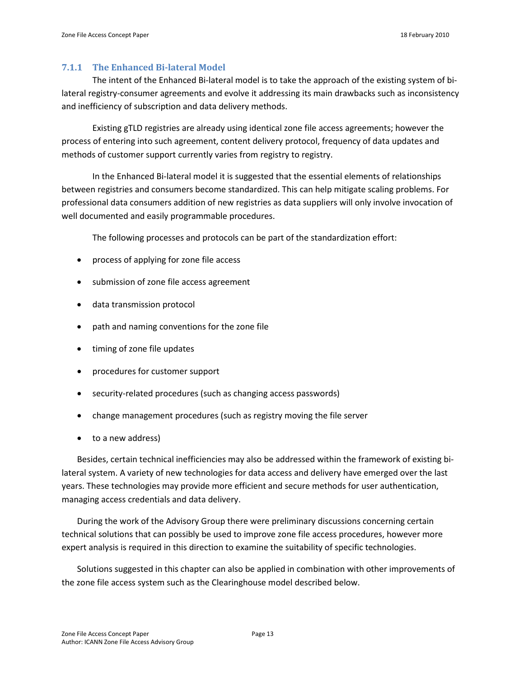### <span id="page-12-0"></span>**7.1.1 The Enhanced Bi-lateral Model**

The intent of the Enhanced Bi-lateral model is to take the approach of the existing system of bilateral registry-consumer agreements and evolve it addressing its main drawbacks such as inconsistency and inefficiency of subscription and data delivery methods.

Existing gTLD registries are already using identical zone file access agreements; however the process of entering into such agreement, content delivery protocol, frequency of data updates and methods of customer support currently varies from registry to registry.

In the Enhanced Bi-lateral model it is suggested that the essential elements of relationships between registries and consumers become standardized. This can help mitigate scaling problems. For professional data consumers addition of new registries as data suppliers will only involve invocation of well documented and easily programmable procedures.

The following processes and protocols can be part of the standardization effort:

- process of applying for zone file access
- submission of zone file access agreement
- data transmission protocol
- path and naming conventions for the zone file
- timing of zone file updates
- procedures for customer support
- security-related procedures (such as changing access passwords)
- change management procedures (such as registry moving the file server
- to a new address)

Besides, certain technical inefficiencies may also be addressed within the framework of existing bilateral system. A variety of new technologies for data access and delivery have emerged over the last years. These technologies may provide more efficient and secure methods for user authentication, managing access credentials and data delivery.

During the work of the Advisory Group there were preliminary discussions concerning certain technical solutions that can possibly be used to improve zone file access procedures, however more expert analysis is required in this direction to examine the suitability of specific technologies.

Solutions suggested in this chapter can also be applied in combination with other improvements of the zone file access system such as the Clearinghouse model described below.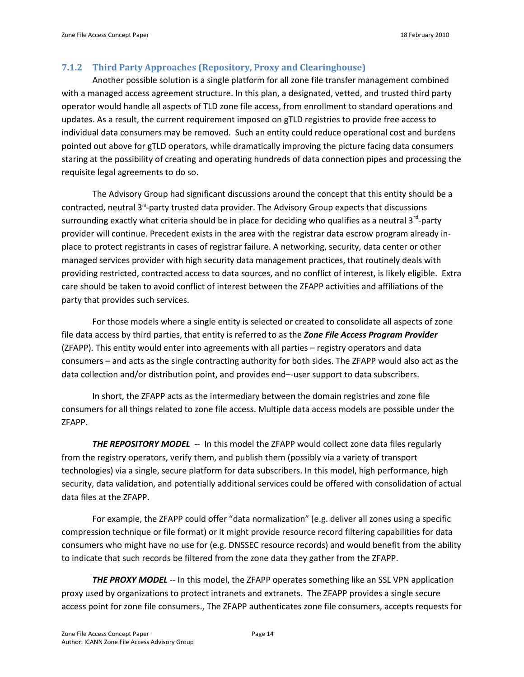### <span id="page-13-0"></span>**7.1.2 Third Party Approaches (Repository, Proxy and Clearinghouse)**

Another possible solution is a single platform for all zone file transfer management combined with a managed access agreement structure. In this plan, a designated, vetted, and trusted third party operator would handle all aspects of TLD zone file access, from enrollment to standard operations and updates. As a result, the current requirement imposed on gTLD registries to provide free access to individual data consumers may be removed. Such an entity could reduce operational cost and burdens pointed out above for gTLD operators, while dramatically improving the picture facing data consumers staring at the possibility of creating and operating hundreds of data connection pipes and processing the requisite legal agreements to do so.

The Advisory Group had significant discussions around the concept that this entity should be a contracted, neutral 3<sup>rd</sup>-party trusted data provider. The Advisory Group expects that discussions surrounding exactly what criteria should be in place for deciding who qualifies as a neutral  $3^{rd}$ -party provider will continue. Precedent exists in the area with the registrar data escrow program already inplace to protect registrants in cases of registrar failure. A networking, security, data center or other managed services provider with high security data management practices, that routinely deals with providing restricted, contracted access to data sources, and no conflict of interest, is likely eligible. Extra care should be taken to avoid conflict of interest between the ZFAPP activities and affiliations of the party that provides such services.

For those models where a single entity is selected or created to consolidate all aspects of zone file data access by third parties, that entity is referred to as the *Zone File Access Program Provider* (ZFAPP). This entity would enter into agreements with all parties – registry operators and data consumers – and acts as the single contracting authority for both sides. The ZFAPP would also act as the data collection and/or distribution point, and provides end–-user support to data subscribers.

In short, the ZFAPP acts as the intermediary between the domain registries and zone file consumers for all things related to zone file access. Multiple data access models are possible under the ZFAPP.

*THE REPOSITORY MODEL* -- In this model the ZFAPP would collect zone data files regularly from the registry operators, verify them, and publish them (possibly via a variety of transport technologies) via a single, secure platform for data subscribers. In this model, high performance, high security, data validation, and potentially additional services could be offered with consolidation of actual data files at the ZFAPP.

For example, the ZFAPP could offer "data normalization" (e.g. deliver all zones using a specific compression technique or file format) or it might provide resource record filtering capabilities for data consumers who might have no use for (e.g. DNSSEC resource records) and would benefit from the ability to indicate that such records be filtered from the zone data they gather from the ZFAPP.

**THE PROXY MODEL** -- In this model, the ZFAPP operates something like an SSL VPN application proxy used by organizations to protect intranets and extranets. The ZFAPP provides a single secure access point for zone file consumers., The ZFAPP authenticates zone file consumers, accepts requests for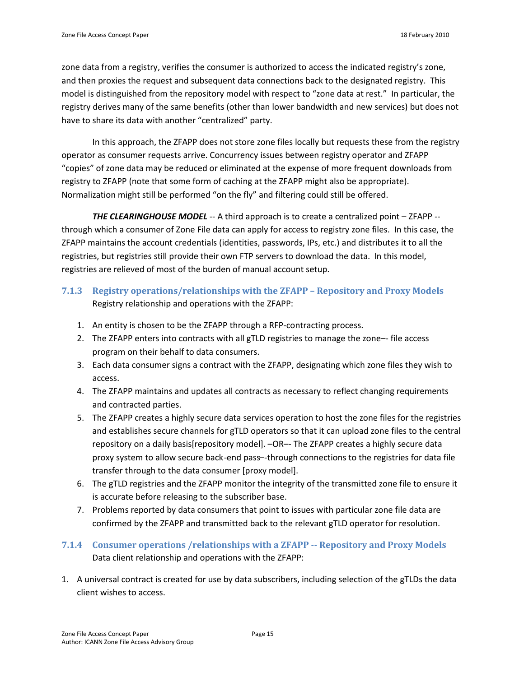zone data from a registry, verifies the consumer is authorized to access the indicated registry's zone, and then proxies the request and subsequent data connections back to the designated registry. This model is distinguished from the repository model with respect to "zone data at rest." In particular, the registry derives many of the same benefits (other than lower bandwidth and new services) but does not have to share its data with another "centralized" party.

In this approach, the ZFAPP does not store zone files locally but requests these from the registry operator as consumer requests arrive. Concurrency issues between registry operator and ZFAPP "copies" of zone data may be reduced or eliminated at the expense of more frequent downloads from registry to ZFAPP (note that some form of caching at the ZFAPP might also be appropriate). Normalization might still be performed "on the fly" and filtering could still be offered.

*THE CLEARINGHOUSE MODEL* -- A third approach is to create a centralized point – ZFAPP - through which a consumer of Zone File data can apply for access to registry zone files. In this case, the ZFAPP maintains the account credentials (identities, passwords, IPs, etc.) and distributes it to all the registries, but registries still provide their own FTP servers to download the data. In this model, registries are relieved of most of the burden of manual account setup.

- <span id="page-14-0"></span>**7.1.3 Registry operations/relationships with the ZFAPP – Repository and Proxy Models** Registry relationship and operations with the ZFAPP:
	- 1. An entity is chosen to be the ZFAPP through a RFP-contracting process.
	- 2. The ZFAPP enters into contracts with all gTLD registries to manage the zone—- file access program on their behalf to data consumers.
	- 3. Each data consumer signs a contract with the ZFAPP, designating which zone files they wish to access.
	- 4. The ZFAPP maintains and updates all contracts as necessary to reflect changing requirements and contracted parties.
	- 5. The ZFAPP creates a highly secure data services operation to host the zone files for the registries and establishes secure channels for gTLD operators so that it can upload zone files to the central repository on a daily basis[repository model]. –OR–- The ZFAPP creates a highly secure data proxy system to allow secure back-end pass–-through connections to the registries for data file transfer through to the data consumer [proxy model].
	- 6. The gTLD registries and the ZFAPP monitor the integrity of the transmitted zone file to ensure it is accurate before releasing to the subscriber base.
	- 7. Problems reported by data consumers that point to issues with particular zone file data are confirmed by the ZFAPP and transmitted back to the relevant gTLD operator for resolution.
- <span id="page-14-1"></span>**7.1.4 Consumer operations /relationships with a ZFAPP -- Repository and Proxy Models** Data client relationship and operations with the ZFAPP:
- 1. A universal contract is created for use by data subscribers, including selection of the gTLDs the data client wishes to access.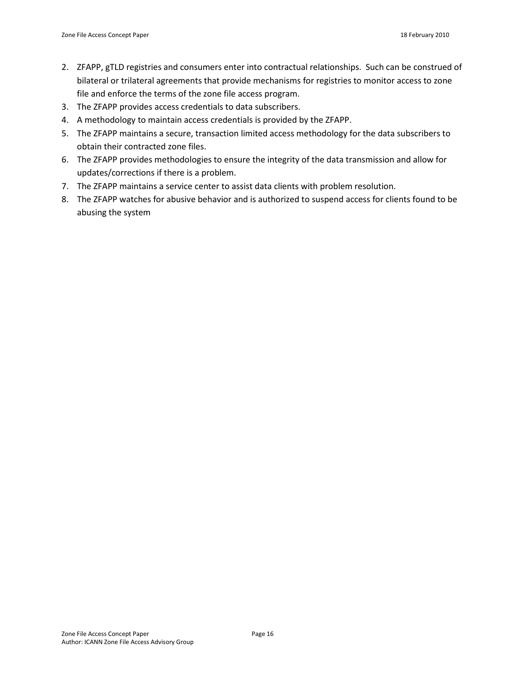- 2. ZFAPP, gTLD registries and consumers enter into contractual relationships. Such can be construed of bilateral or trilateral agreements that provide mechanisms for registries to monitor access to zone file and enforce the terms of the zone file access program.
- 3. The ZFAPP provides access credentials to data subscribers.
- 4. A methodology to maintain access credentials is provided by the ZFAPP.
- 5. The ZFAPP maintains a secure, transaction limited access methodology for the data subscribers to obtain their contracted zone files.
- 6. The ZFAPP provides methodologies to ensure the integrity of the data transmission and allow for updates/corrections if there is a problem.
- 7. The ZFAPP maintains a service center to assist data clients with problem resolution.
- 8. The ZFAPP watches for abusive behavior and is authorized to suspend access for clients found to be abusing the system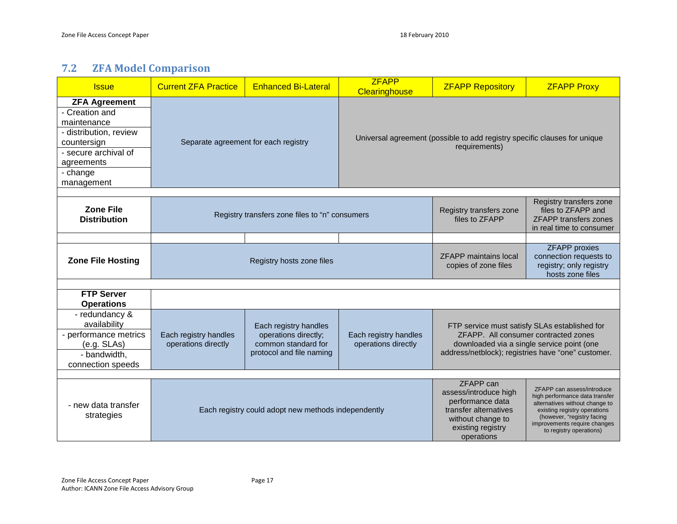# **7.2 ZFA Model Comparison**

<span id="page-16-0"></span>

| <b>Issue</b>                                                                                                                                                   | <b>Current ZFA Practice</b>                         | <b>Enhanced Bi-Lateral</b>                                                                       | <b>ZFAPP</b><br>Clearinghouse                | <b>ZFAPP Repository</b>                                                                                                                 | <b>ZFAPP Proxy</b>                                                                                                                                                                                                      |
|----------------------------------------------------------------------------------------------------------------------------------------------------------------|-----------------------------------------------------|--------------------------------------------------------------------------------------------------|----------------------------------------------|-----------------------------------------------------------------------------------------------------------------------------------------|-------------------------------------------------------------------------------------------------------------------------------------------------------------------------------------------------------------------------|
| <b>ZFA Agreement</b><br>- Creation and<br>maintenance<br>- distribution, review<br>countersign<br>- secure archival of<br>agreements<br>- change<br>management |                                                     | Separate agreement for each registry                                                             |                                              | Universal agreement (possible to add registry specific clauses for unique<br>requirements)                                              |                                                                                                                                                                                                                         |
| <b>Zone File</b><br><b>Distribution</b>                                                                                                                        | Registry transfers zone files to "n" consumers      |                                                                                                  |                                              | Registry transfers zone<br>files to ZFAPP                                                                                               | Registry transfers zone<br>files to ZFAPP and<br><b>ZFAPP</b> transfers zones<br>in real time to consumer                                                                                                               |
| <b>Zone File Hosting</b>                                                                                                                                       |                                                     | Registry hosts zone files                                                                        |                                              | <b>ZFAPP</b> maintains local<br>copies of zone files                                                                                    | <b>ZFAPP</b> proxies<br>connection requests to<br>registry; only registry<br>hosts zone files                                                                                                                           |
| <b>FTP Server</b><br><b>Operations</b>                                                                                                                         |                                                     |                                                                                                  |                                              |                                                                                                                                         |                                                                                                                                                                                                                         |
| - redundancy &<br>availability<br>- performance metrics<br>(e.g. SLAs)<br>- bandwidth,<br>connection speeds                                                    | Each registry handles<br>operations directly        | Each registry handles<br>operations directly;<br>common standard for<br>protocol and file naming | Each registry handles<br>operations directly |                                                                                                                                         | FTP service must satisfy SLAs established for<br>ZFAPP. All consumer contracted zones<br>downloaded via a single service point (one<br>address/netblock); registries have "one" customer.                               |
| - new data transfer<br>strategies                                                                                                                              | Each registry could adopt new methods independently |                                                                                                  |                                              | ZFAPP can<br>assess/introduce high<br>performance data<br>transfer alternatives<br>without change to<br>existing registry<br>operations | ZFAPP can assess/introduce<br>high performance data transfer<br>alternatives without change to<br>existing registry operations<br>(however, "registry facing<br>improvements require changes<br>to registry operations) |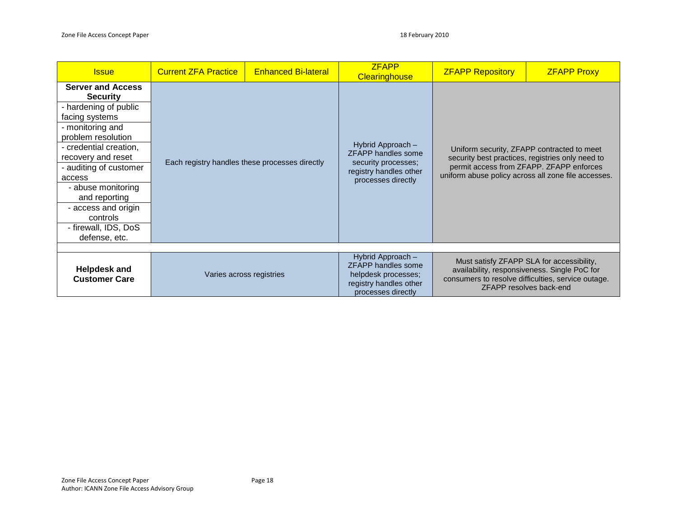| <b>Issue</b>                                                                                                                                                                                                                                                                                                                            | <b>Current ZFA Practice</b>                    | <b>Enhanced Bi-lateral</b> | <b>ZFAPP</b><br><b>Clearinghouse</b>                                                                                  | <b>ZFAPP Repository</b>                                                                                                                                                                           | <b>ZFAPP Proxy</b>                                                                                                                                                         |
|-----------------------------------------------------------------------------------------------------------------------------------------------------------------------------------------------------------------------------------------------------------------------------------------------------------------------------------------|------------------------------------------------|----------------------------|-----------------------------------------------------------------------------------------------------------------------|---------------------------------------------------------------------------------------------------------------------------------------------------------------------------------------------------|----------------------------------------------------------------------------------------------------------------------------------------------------------------------------|
| <b>Server and Access</b><br><b>Security</b><br>- hardening of public<br>facing systems<br>- monitoring and<br>problem resolution<br>- credential creation,<br>recovery and reset<br>- auditing of customer<br>access<br>- abuse monitoring<br>and reporting<br>- access and origin<br>controls<br>- firewall, IDS, DoS<br>defense, etc. | Each registry handles these processes directly |                            | Hybrid Approach -<br><b>ZFAPP handles some</b><br>security processes;<br>registry handles other<br>processes directly | Uniform security, ZFAPP contracted to meet<br>security best practices, registries only need to<br>permit access from ZFAPP. ZFAPP enforces<br>uniform abuse policy across all zone file accesses. |                                                                                                                                                                            |
| <b>Helpdesk and</b><br><b>Customer Care</b>                                                                                                                                                                                                                                                                                             |                                                | Varies across registries   | Hybrid Approach -<br>ZFAPP handles some<br>helpdesk processes;<br>registry handles other<br>processes directly        |                                                                                                                                                                                                   | Must satisfy ZFAPP SLA for accessibility,<br>availability, responsiveness. Single PoC for<br>consumers to resolve difficulties, service outage.<br>ZFAPP resolves back-end |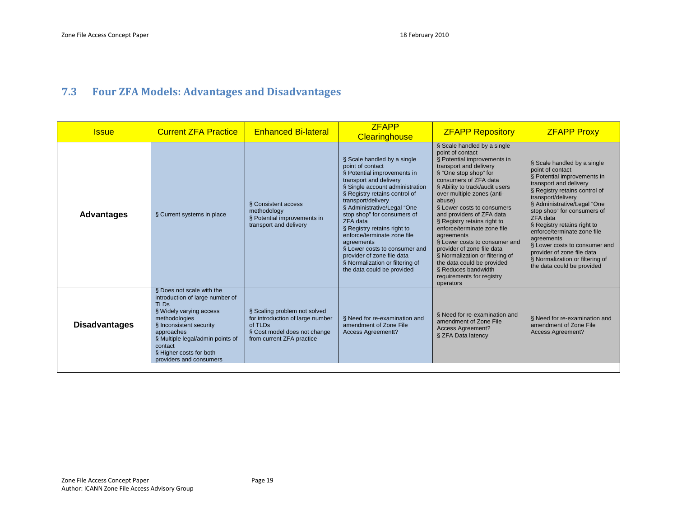# **7.3 Four ZFA Models: Advantages and Disadvantages**

<span id="page-18-0"></span>

| <b>Issue</b>         | <b>Current ZFA Practice</b>                                                                                                                                                                                                                                           | <b>Enhanced Bi-lateral</b>                                                                                                               | <b>ZFAPP</b><br><b>Clearinghouse</b>                                                                                                                                                                                                                                                                                                                                                                                                                                                     | <b>ZFAPP Repository</b>                                                                                                                                                                                                                                                                                                                                                                                                                                                                                                                                                      | <b>ZFAPP Proxy</b>                                                                                                                                                                                                                                                                                                                                                                                                                                    |
|----------------------|-----------------------------------------------------------------------------------------------------------------------------------------------------------------------------------------------------------------------------------------------------------------------|------------------------------------------------------------------------------------------------------------------------------------------|------------------------------------------------------------------------------------------------------------------------------------------------------------------------------------------------------------------------------------------------------------------------------------------------------------------------------------------------------------------------------------------------------------------------------------------------------------------------------------------|------------------------------------------------------------------------------------------------------------------------------------------------------------------------------------------------------------------------------------------------------------------------------------------------------------------------------------------------------------------------------------------------------------------------------------------------------------------------------------------------------------------------------------------------------------------------------|-------------------------------------------------------------------------------------------------------------------------------------------------------------------------------------------------------------------------------------------------------------------------------------------------------------------------------------------------------------------------------------------------------------------------------------------------------|
| <b>Advantages</b>    | § Current systems in place                                                                                                                                                                                                                                            | § Consistent access<br>methodology<br>§ Potential improvements in<br>transport and delivery                                              | § Scale handled by a single<br>point of contact<br>§ Potential improvements in<br>transport and delivery<br>§ Single account administration<br>§ Registry retains control of<br>transport/delivery<br>§ Administrative/Legal "One<br>stop shop" for consumers of<br>ZFA data<br>§ Registry retains right to<br>enforce/terminate zone file<br>agreements<br>§ Lower costs to consumer and<br>provider of zone file data<br>§ Normalization or filtering of<br>the data could be provided | § Scale handled by a single<br>point of contact<br>§ Potential improvements in<br>transport and delivery<br>§ "One stop shop" for<br>consumers of ZFA data<br>§ Ability to track/audit users<br>over multiple zones (anti-<br>abuse)<br>§ Lower costs to consumers<br>and providers of ZFA data<br>§ Registry retains right to<br>enforce/terminate zone file<br>agreements<br>§ Lower costs to consumer and<br>provider of zone file data<br>§ Normalization or filtering of<br>the data could be provided<br>§ Reduces bandwidth<br>requirements for registry<br>operators | § Scale handled by a single<br>point of contact<br>§ Potential improvements in<br>transport and delivery<br>§ Registry retains control of<br>transport/delivery<br>§ Administrative/Legal "One<br>stop shop" for consumers of<br>ZFA data<br>§ Registry retains right to<br>enforce/terminate zone file<br>agreements<br>§ Lower costs to consumer and<br>provider of zone file data<br>§ Normalization or filtering of<br>the data could be provided |
| <b>Disadvantages</b> | § Does not scale with the<br>introduction of large number of<br><b>TLDs</b><br>§ Widely varying access<br>methodologies<br>§ Inconsistent security<br>approaches<br>§ Multiple legal/admin points of<br>contact<br>§ Higher costs for both<br>providers and consumers | § Scaling problem not solved<br>for introduction of large number<br>of TLDs<br>§ Cost model does not change<br>from current ZFA practice | § Need for re-examination and<br>amendment of Zone File<br><b>Access Agreementt?</b>                                                                                                                                                                                                                                                                                                                                                                                                     | § Need for re-examination and<br>amendment of Zone File<br><b>Access Agreement?</b><br>§ ZFA Data latency                                                                                                                                                                                                                                                                                                                                                                                                                                                                    | § Need for re-examination and<br>amendment of Zone File<br><b>Access Agreement?</b>                                                                                                                                                                                                                                                                                                                                                                   |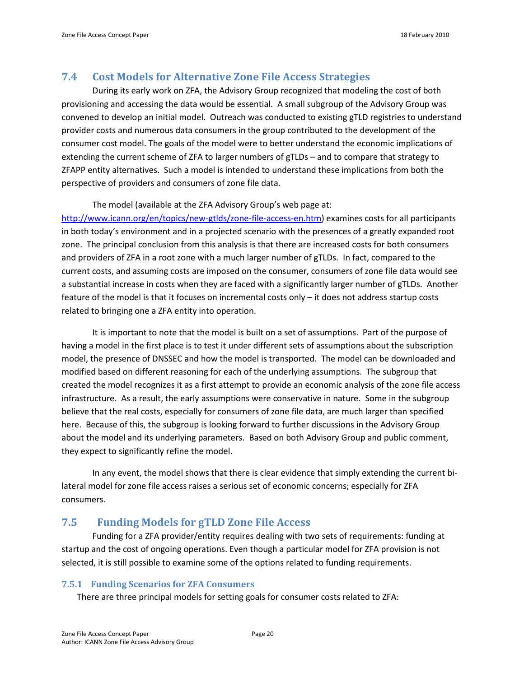### <span id="page-19-0"></span>**7.4 Cost Models for Alternative Zone File Access Strategies**

During its early work on ZFA, the Advisory Group recognized that modeling the cost of both provisioning and accessing the data would be essential. A small subgroup of the Advisory Group was convened to develop an initial model. Outreach was conducted to existing gTLD registries to understand provider costs and numerous data consumers in the group contributed to the development of the consumer cost model. The goals of the model were to better understand the economic implications of extending the current scheme of ZFA to larger numbers of gTLDs – and to compare that strategy to ZFAPP entity alternatives. Such a model is intended to understand these implications from both the perspective of providers and consumers of zone file data.

### The model (available at the ZFA Advisory Group's web page at:

[http://www.icann.org/en/topics/new-gtlds/zone-file-access-en.htm\)](http://www.icann.org/en/topics/new-gtlds/zone-file-access-en.htm) examines costs for all participants in both today's environment and in a projected scenario with the presences of a greatly expanded root zone. The principal conclusion from this analysis is that there are increased costs for both consumers and providers of ZFA in a root zone with a much larger number of gTLDs. In fact, compared to the current costs, and assuming costs are imposed on the consumer, consumers of zone file data would see a substantial increase in costs when they are faced with a significantly larger number of gTLDs. Another feature of the model is that it focuses on incremental costs only – it does not address startup costs related to bringing one a ZFA entity into operation.

It is important to note that the model is built on a set of assumptions. Part of the purpose of having a model in the first place is to test it under different sets of assumptions about the subscription model, the presence of DNSSEC and how the model is transported. The model can be downloaded and modified based on different reasoning for each of the underlying assumptions. The subgroup that created the model recognizes it as a first attempt to provide an economic analysis of the zone file access infrastructure. As a result, the early assumptions were conservative in nature. Some in the subgroup believe that the real costs, especially for consumers of zone file data, are much larger than specified here. Because of this, the subgroup is looking forward to further discussions in the Advisory Group about the model and its underlying parameters. Based on both Advisory Group and public comment, they expect to significantly refine the model.

In any event, the model shows that there is clear evidence that simply extending the current bilateral model for zone file access raises a serious set of economic concerns; especially for ZFA consumers.

## <span id="page-19-1"></span>**7.5 Funding Models for gTLD Zone File Access**

Funding for a ZFA provider/entity requires dealing with two sets of requirements: funding at startup and the cost of ongoing operations. Even though a particular model for ZFA provision is not selected, it is still possible to examine some of the options related to funding requirements.

### <span id="page-19-2"></span>**7.5.1 Funding Scenarios for ZFA Consumers**

There are three principal models for setting goals for consumer costs related to ZFA: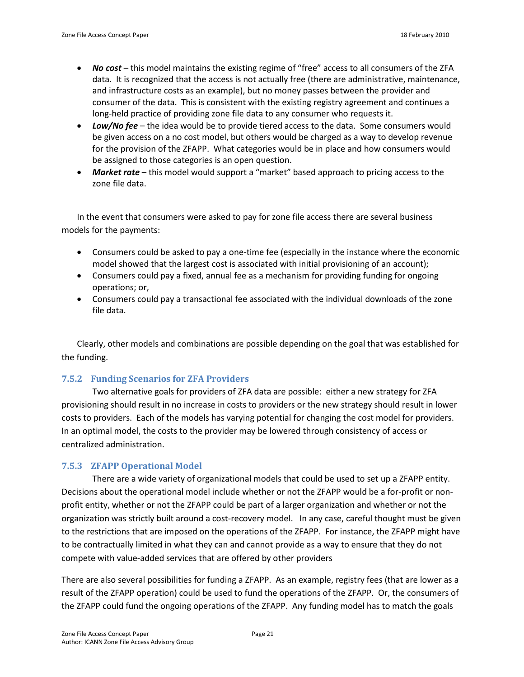- *No cost* this model maintains the existing regime of "free" access to all consumers of the ZFA data. It is recognized that the access is not actually free (there are administrative, maintenance, and infrastructure costs as an example), but no money passes between the provider and consumer of the data. This is consistent with the existing registry agreement and continues a long-held practice of providing zone file data to any consumer who requests it.
- *Low/No fee* the idea would be to provide tiered access to the data. Some consumers would be given access on a no cost model, but others would be charged as a way to develop revenue for the provision of the ZFAPP. What categories would be in place and how consumers would be assigned to those categories is an open question.
- *Market rate* this model would support a "market" based approach to pricing access to the zone file data.

In the event that consumers were asked to pay for zone file access there are several business models for the payments:

- Consumers could be asked to pay a one-time fee (especially in the instance where the economic model showed that the largest cost is associated with initial provisioning of an account);
- Consumers could pay a fixed, annual fee as a mechanism for providing funding for ongoing operations; or,
- Consumers could pay a transactional fee associated with the individual downloads of the zone file data.

Clearly, other models and combinations are possible depending on the goal that was established for the funding.

### <span id="page-20-0"></span>**7.5.2 Funding Scenarios for ZFA Providers**

Two alternative goals for providers of ZFA data are possible: either a new strategy for ZFA provisioning should result in no increase in costs to providers or the new strategy should result in lower costs to providers. Each of the models has varying potential for changing the cost model for providers. In an optimal model, the costs to the provider may be lowered through consistency of access or centralized administration.

### <span id="page-20-1"></span>**7.5.3 ZFAPP Operational Model**

There are a wide variety of organizational models that could be used to set up a ZFAPP entity. Decisions about the operational model include whether or not the ZFAPP would be a for-profit or nonprofit entity, whether or not the ZFAPP could be part of a larger organization and whether or not the organization was strictly built around a cost-recovery model. In any case, careful thought must be given to the restrictions that are imposed on the operations of the ZFAPP. For instance, the ZFAPP might have to be contractually limited in what they can and cannot provide as a way to ensure that they do not compete with value-added services that are offered by other providers

There are also several possibilities for funding a ZFAPP. As an example, registry fees (that are lower as a result of the ZFAPP operation) could be used to fund the operations of the ZFAPP. Or, the consumers of the ZFAPP could fund the ongoing operations of the ZFAPP. Any funding model has to match the goals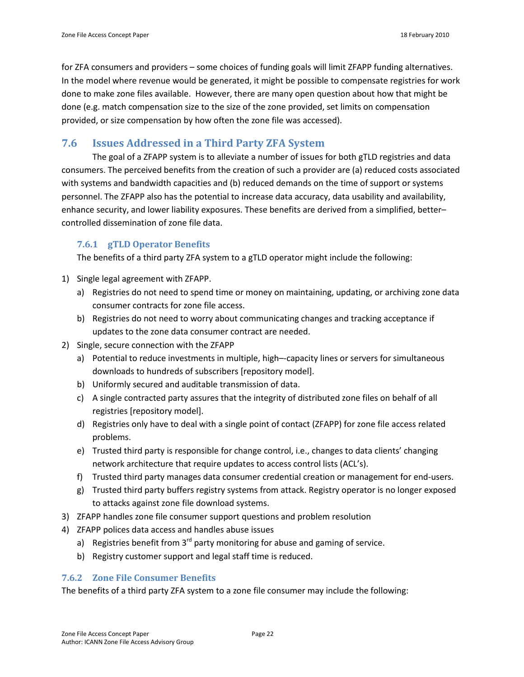for ZFA consumers and providers – some choices of funding goals will limit ZFAPP funding alternatives. In the model where revenue would be generated, it might be possible to compensate registries for work done to make zone files available. However, there are many open question about how that might be done (e.g. match compensation size to the size of the zone provided, set limits on compensation provided, or size compensation by how often the zone file was accessed).

### <span id="page-21-0"></span>**7.6 Issues Addressed in a Third Party ZFA System**

The goal of a ZFAPP system is to alleviate a number of issues for both gTLD registries and data consumers. The perceived benefits from the creation of such a provider are (a) reduced costs associated with systems and bandwidth capacities and (b) reduced demands on the time of support or systems personnel. The ZFAPP also has the potential to increase data accuracy, data usability and availability, enhance security, and lower liability exposures. These benefits are derived from a simplified, better– controlled dissemination of zone file data.

### <span id="page-21-1"></span>**7.6.1 gTLD Operator Benefits**

The benefits of a third party ZFA system to a gTLD operator might include the following:

- 1) Single legal agreement with ZFAPP.
	- a) Registries do not need to spend time or money on maintaining, updating, or archiving zone data consumer contracts for zone file access.
	- b) Registries do not need to worry about communicating changes and tracking acceptance if updates to the zone data consumer contract are needed.
- 2) Single, secure connection with the ZFAPP
	- a) Potential to reduce investments in multiple, high–-capacity lines or servers for simultaneous downloads to hundreds of subscribers [repository model].
	- b) Uniformly secured and auditable transmission of data.
	- c) A single contracted party assures that the integrity of distributed zone files on behalf of all registries [repository model].
	- d) Registries only have to deal with a single point of contact (ZFAPP) for zone file access related problems.
	- e) Trusted third party is responsible for change control, i.e., changes to data clients' changing network architecture that require updates to access control lists (ACL's).
	- f) Trusted third party manages data consumer credential creation or management for end-users.
	- g) Trusted third party buffers registry systems from attack. Registry operator is no longer exposed to attacks against zone file download systems.
- 3) ZFAPP handles zone file consumer support questions and problem resolution
- 4) ZFAPP polices data access and handles abuse issues
	- a) Registries benefit from  $3<sup>rd</sup>$  party monitoring for abuse and gaming of service.
	- b) Registry customer support and legal staff time is reduced.

### <span id="page-21-2"></span>**7.6.2 Zone File Consumer Benefits**

The benefits of a third party ZFA system to a zone file consumer may include the following: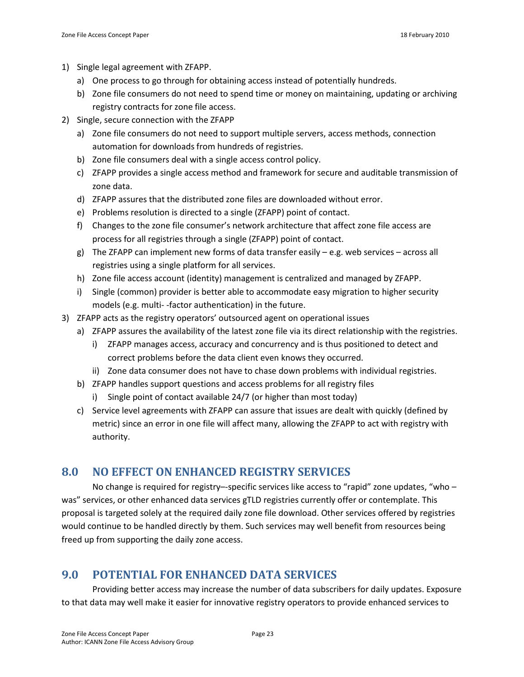- 1) Single legal agreement with ZFAPP.
	- a) One process to go through for obtaining access instead of potentially hundreds.
	- b) Zone file consumers do not need to spend time or money on maintaining, updating or archiving registry contracts for zone file access.
- 2) Single, secure connection with the ZFAPP
	- a) Zone file consumers do not need to support multiple servers, access methods, connection automation for downloads from hundreds of registries.
	- b) Zone file consumers deal with a single access control policy.
	- c) ZFAPP provides a single access method and framework for secure and auditable transmission of zone data.
	- d) ZFAPP assures that the distributed zone files are downloaded without error.
	- e) Problems resolution is directed to a single (ZFAPP) point of contact.
	- f) Changes to the zone file consumer's network architecture that affect zone file access are process for all registries through a single (ZFAPP) point of contact.
	- g) The ZFAPP can implement new forms of data transfer easily e.g. web services across all registries using a single platform for all services.
	- h) Zone file access account (identity) management is centralized and managed by ZFAPP.
	- i) Single (common) provider is better able to accommodate easy migration to higher security models (e.g. multi- -factor authentication) in the future.
- 3) ZFAPP acts as the registry operators' outsourced agent on operational issues
	- a) ZFAPP assures the availability of the latest zone file via its direct relationship with the registries.
		- i) ZFAPP manages access, accuracy and concurrency and is thus positioned to detect and correct problems before the data client even knows they occurred.
		- ii) Zone data consumer does not have to chase down problems with individual registries.
	- b) ZFAPP handles support questions and access problems for all registry files
		- i) Single point of contact available 24/7 (or higher than most today)
	- c) Service level agreements with ZFAPP can assure that issues are dealt with quickly (defined by metric) since an error in one file will affect many, allowing the ZFAPP to act with registry with authority.

## <span id="page-22-0"></span>**8.0 NO EFFECT ON ENHANCED REGISTRY SERVICES**

No change is required for registry--specific services like access to "rapid" zone updates, "who was" services, or other enhanced data services gTLD registries currently offer or contemplate. This proposal is targeted solely at the required daily zone file download. Other services offered by registries would continue to be handled directly by them. Such services may well benefit from resources being freed up from supporting the daily zone access.

# <span id="page-22-1"></span>**9.0 POTENTIAL FOR ENHANCED DATA SERVICES**

Providing better access may increase the number of data subscribers for daily updates. Exposure to that data may well make it easier for innovative registry operators to provide enhanced services to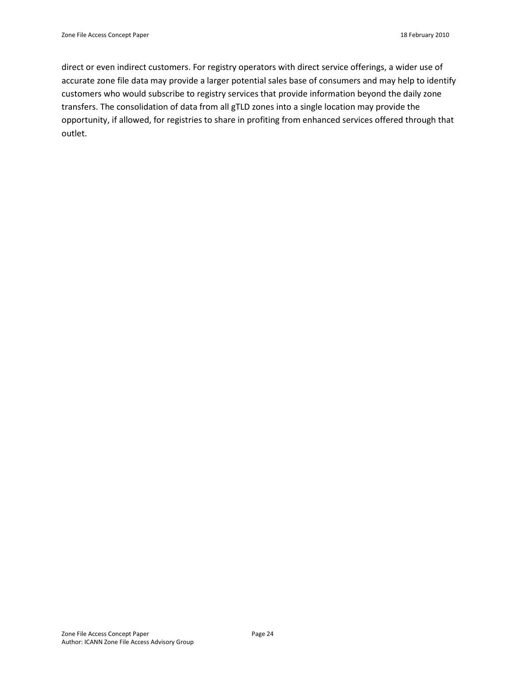direct or even indirect customers. For registry operators with direct service offerings, a wider use of accurate zone file data may provide a larger potential sales base of consumers and may help to identify customers who would subscribe to registry services that provide information beyond the daily zone transfers. The consolidation of data from all gTLD zones into a single location may provide the opportunity, if allowed, for registries to share in profiting from enhanced services offered through that outlet.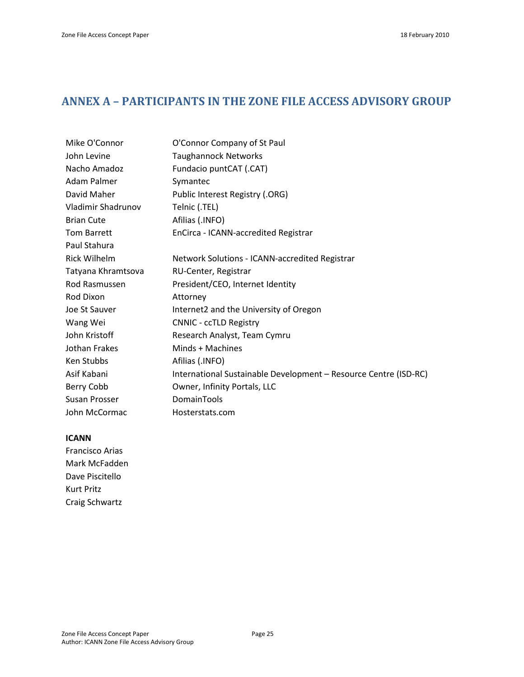# <span id="page-24-0"></span>**ANNEX A – PARTICIPANTS IN THE ZONE FILE ACCESS ADVISORY GROUP**

| Mike O'Connor      | O'Connor Company of St Paul                                      |
|--------------------|------------------------------------------------------------------|
| John Levine        | <b>Taughannock Networks</b>                                      |
| Nacho Amadoz       | Fundacio puntCAT (.CAT)                                          |
| Adam Palmer        | Symantec                                                         |
| David Maher        | Public Interest Registry (.ORG)                                  |
| Vladimir Shadrunov | Telnic (.TEL)                                                    |
| <b>Brian Cute</b>  | Afilias (.INFO)                                                  |
| Tom Barrett        | EnCirca - ICANN-accredited Registrar                             |
| Paul Stahura       |                                                                  |
| Rick Wilhelm       | Network Solutions - ICANN-accredited Registrar                   |
| Tatyana Khramtsova | RU-Center, Registrar                                             |
| Rod Rasmussen      | President/CEO, Internet Identity                                 |
| Rod Dixon          | Attorney                                                         |
| Joe St Sauver      | Internet2 and the University of Oregon                           |
| Wang Wei           | <b>CNNIC - ccTLD Registry</b>                                    |
| John Kristoff      | Research Analyst, Team Cymru                                     |
| Jothan Frakes      | Minds + Machines                                                 |
| Ken Stubbs         | Afilias (.INFO)                                                  |
| Asif Kabani        | International Sustainable Development - Resource Centre (ISD-RC) |
| Berry Cobb         | Owner, Infinity Portals, LLC                                     |
| Susan Prosser      | DomainTools                                                      |
| John McCormac      | Hosterstats.com                                                  |
|                    |                                                                  |

### **ICANN**

Francisco Arias Mark McFadden Dave Piscitello Kurt Pritz Craig Schwartz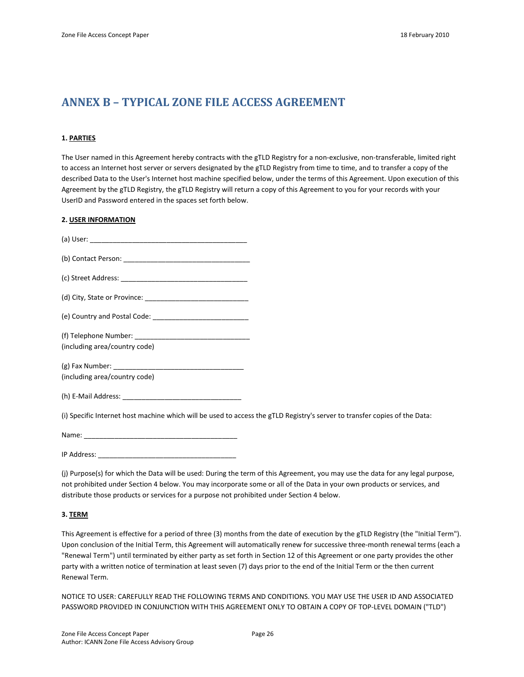# <span id="page-25-0"></span>**ANNEX B – TYPICAL ZONE FILE ACCESS AGREEMENT**

#### **1. PARTIES**

The User named in this Agreement hereby contracts with the gTLD Registry for a non-exclusive, non-transferable, limited right to access an Internet host server or servers designated by the gTLD Registry from time to time, and to transfer a copy of the described Data to the User's Internet host machine specified below, under the terms of this Agreement. Upon execution of this Agreement by the gTLD Registry, the gTLD Registry will return a copy of this Agreement to you for your records with your UserID and Password entered in the spaces set forth below.

#### **2. USER INFORMATION**

| (including area/country code)                                                                                              |  |
|----------------------------------------------------------------------------------------------------------------------------|--|
|                                                                                                                            |  |
| (including area/country code)                                                                                              |  |
|                                                                                                                            |  |
| (i) Specific Internet host machine which will be used to access the gTLD Registry's server to transfer copies of the Data: |  |
|                                                                                                                            |  |
| IP Address:                                                                                                                |  |

(j) Purpose(s) for which the Data will be used: During the term of this Agreement, you may use the data for any legal purpose, not prohibited under Section 4 below. You may incorporate some or all of the Data in your own products or services, and distribute those products or services for a purpose not prohibited under Section 4 below.

#### **3. TERM**

This Agreement is effective for a period of three (3) months from the date of execution by the gTLD Registry (the "Initial Term"). Upon conclusion of the Initial Term, this Agreement will automatically renew for successive three-month renewal terms (each a "Renewal Term") until terminated by either party as set forth in Section 12 of this Agreement or one party provides the other party with a written notice of termination at least seven (7) days prior to the end of the Initial Term or the then current Renewal Term.

NOTICE TO USER: CAREFULLY READ THE FOLLOWING TERMS AND CONDITIONS. YOU MAY USE THE USER ID AND ASSOCIATED PASSWORD PROVIDED IN CONJUNCTION WITH THIS AGREEMENT ONLY TO OBTAIN A COPY OF TOP-LEVEL DOMAIN ("TLD")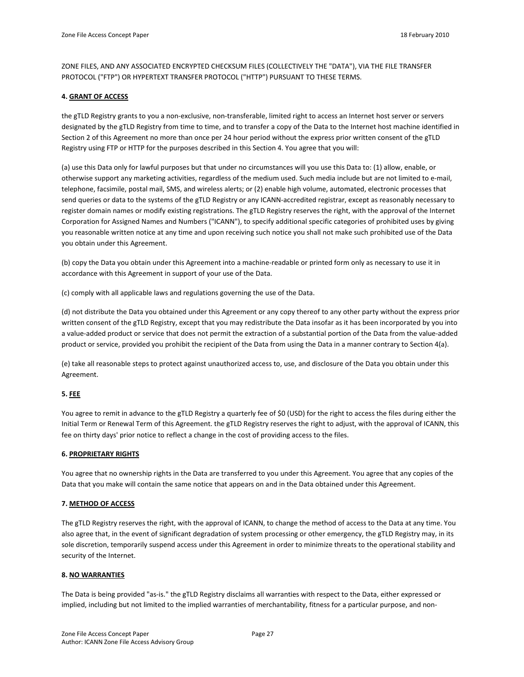ZONE FILES, AND ANY ASSOCIATED ENCRYPTED CHECKSUM FILES (COLLECTIVELY THE "DATA"), VIA THE FILE TRANSFER PROTOCOL ("FTP") OR HYPERTEXT TRANSFER PROTOCOL ("HTTP") PURSUANT TO THESE TERMS.

#### **4. GRANT OF ACCESS**

the gTLD Registry grants to you a non-exclusive, non-transferable, limited right to access an Internet host server or servers designated by the gTLD Registry from time to time, and to transfer a copy of the Data to the Internet host machine identified in Section 2 of this Agreement no more than once per 24 hour period without the express prior written consent of the gTLD Registry using FTP or HTTP for the purposes described in this Section 4. You agree that you will:

(a) use this Data only for lawful purposes but that under no circumstances will you use this Data to: (1) allow, enable, or otherwise support any marketing activities, regardless of the medium used. Such media include but are not limited to e-mail, telephone, facsimile, postal mail, SMS, and wireless alerts; or (2) enable high volume, automated, electronic processes that send queries or data to the systems of the gTLD Registry or any ICANN-accredited registrar, except as reasonably necessary to register domain names or modify existing registrations. The gTLD Registry reserves the right, with the approval of the Internet Corporation for Assigned Names and Numbers ("ICANN"), to specify additional specific categories of prohibited uses by giving you reasonable written notice at any time and upon receiving such notice you shall not make such prohibited use of the Data you obtain under this Agreement.

(b) copy the Data you obtain under this Agreement into a machine-readable or printed form only as necessary to use it in accordance with this Agreement in support of your use of the Data.

(c) comply with all applicable laws and regulations governing the use of the Data.

(d) not distribute the Data you obtained under this Agreement or any copy thereof to any other party without the express prior written consent of the gTLD Registry, except that you may redistribute the Data insofar as it has been incorporated by you into a value-added product or service that does not permit the extraction of a substantial portion of the Data from the value-added product or service, provided you prohibit the recipient of the Data from using the Data in a manner contrary to Section 4(a).

(e) take all reasonable steps to protect against unauthorized access to, use, and disclosure of the Data you obtain under this Agreement.

#### **5. FEE**

You agree to remit in advance to the gTLD Registry a quarterly fee of \$0 (USD) for the right to access the files during either the Initial Term or Renewal Term of this Agreement. the gTLD Registry reserves the right to adjust, with the approval of ICANN, this fee on thirty days' prior notice to reflect a change in the cost of providing access to the files.

#### **6. PROPRIETARY RIGHTS**

You agree that no ownership rights in the Data are transferred to you under this Agreement. You agree that any copies of the Data that you make will contain the same notice that appears on and in the Data obtained under this Agreement.

#### **7. METHOD OF ACCESS**

The gTLD Registry reserves the right, with the approval of ICANN, to change the method of access to the Data at any time. You also agree that, in the event of significant degradation of system processing or other emergency, the gTLD Registry may, in its sole discretion, temporarily suspend access under this Agreement in order to minimize threats to the operational stability and security of the Internet.

#### **8. NO WARRANTIES**

The Data is being provided "as-is." the gTLD Registry disclaims all warranties with respect to the Data, either expressed or implied, including but not limited to the implied warranties of merchantability, fitness for a particular purpose, and non